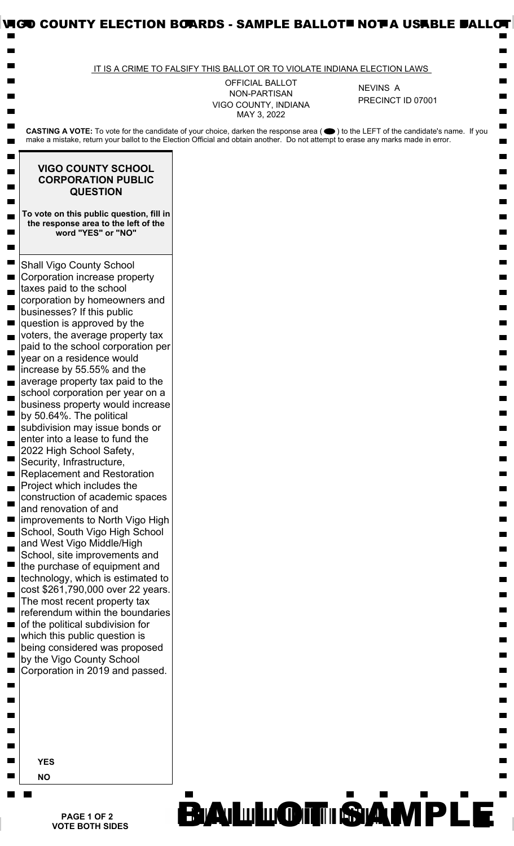|                                                                                                                                                                                                                                                                                                                                                                                                                                                                                                                                                                                                                                                                                                                                                                                                                                                                                                                                                                                                                                                                                                                                                                                                                              | IT IS A CRIME TO FALSIFY THIS BALLOT OR TO VIOLATE INDIANA ELECTION LAWS |                   |
|------------------------------------------------------------------------------------------------------------------------------------------------------------------------------------------------------------------------------------------------------------------------------------------------------------------------------------------------------------------------------------------------------------------------------------------------------------------------------------------------------------------------------------------------------------------------------------------------------------------------------------------------------------------------------------------------------------------------------------------------------------------------------------------------------------------------------------------------------------------------------------------------------------------------------------------------------------------------------------------------------------------------------------------------------------------------------------------------------------------------------------------------------------------------------------------------------------------------------|--------------------------------------------------------------------------|-------------------|
|                                                                                                                                                                                                                                                                                                                                                                                                                                                                                                                                                                                                                                                                                                                                                                                                                                                                                                                                                                                                                                                                                                                                                                                                                              | <b>OFFICIAL BALLOT</b>                                                   | <b>NEVINS A</b>   |
|                                                                                                                                                                                                                                                                                                                                                                                                                                                                                                                                                                                                                                                                                                                                                                                                                                                                                                                                                                                                                                                                                                                                                                                                                              | NON-PARTISAN<br>VIGO COUNTY, INDIANA<br>MAY 3, 2022                      | PRECINCT ID 07001 |
| CASTING A VOTE: To vote for the candidate of your choice, darken the response area (●) to the LEFT of the candidate's name. If you<br>make a mistake, return your ballot to the Election Official and obtain another. Do not attempt to erase any marks made in error.                                                                                                                                                                                                                                                                                                                                                                                                                                                                                                                                                                                                                                                                                                                                                                                                                                                                                                                                                       |                                                                          |                   |
| <b>VIGO COUNTY SCHOOL</b><br><b>CORPORATION PUBLIC</b><br><b>QUESTION</b>                                                                                                                                                                                                                                                                                                                                                                                                                                                                                                                                                                                                                                                                                                                                                                                                                                                                                                                                                                                                                                                                                                                                                    |                                                                          |                   |
| To vote on this public question, fill in<br>the response area to the left of the<br>word "YES" or "NO"                                                                                                                                                                                                                                                                                                                                                                                                                                                                                                                                                                                                                                                                                                                                                                                                                                                                                                                                                                                                                                                                                                                       |                                                                          |                   |
| <b>Shall Vigo County School</b><br>Corporation increase property<br>taxes paid to the school<br>corporation by homeowners and<br>businesses? If this public<br>question is approved by the<br>voters, the average property tax<br>paid to the school corporation per<br>year on a residence would<br>increase by 55.55% and the<br>average property tax paid to the<br>school corporation per year on a<br>business property would increase<br>by 50.64%. The political<br>subdivision may issue bonds or<br>enter into a lease to fund the<br>2022 High School Safety,<br>Security, Infrastructure,<br><b>Replacement and Restoration</b><br>Project which includes the<br>construction of academic spaces<br>and renovation of and<br>improvements to North Vigo High<br>School, South Vigo High School<br>and West Vigo Middle/High<br>School, site improvements and<br>the purchase of equipment and<br>technology, which is estimated to<br>cost \$261,790,000 over 22 years.<br>The most recent property tax<br>referendum within the boundaries<br>of the political subdivision for<br>which this public question is<br>being considered was proposed<br>by the Vigo County School<br>Corporation in 2019 and passed. |                                                                          |                   |
| <b>YES</b><br><b>NO</b>                                                                                                                                                                                                                                                                                                                                                                                                                                                                                                                                                                                                                                                                                                                                                                                                                                                                                                                                                                                                                                                                                                                                                                                                      |                                                                          |                   |